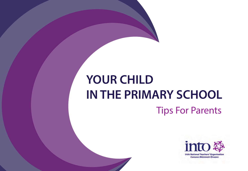# **YOUR CHILD IN THE PRIMARY SCHOOL** Tips For Parents

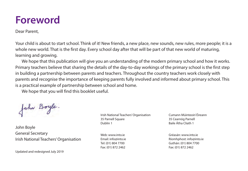### **Foreword**

Dear Parent,

Your child is about to start school. Think of it! New friends, a new place, new sounds, new rules, more people; it is a whole new world. That is the first day. Every school day after that will be part of that new world of maturing, learning and growing.

We hope that this publication will give you an understanding of the modern primary school and how it works. Primary teachers believe that sharing the details of the day-to-day workings of the primary school is the first step in building a partnership between parents and teachers. Throughout the country teachers work closely with parents and recognise the importance of keeping parents fully involved and informed about primary school. This is a practical example of partnership between school and home.

We hope that you will find this booklet useful.

John Boyle.

John Boyle General Secretary Irish National Teachers' Organisation

Updated and redesigned July 2019

Irish National Teachers' Organisation Cumann Múinteoirí Éireann 35 Parnell Square 35 Cearnóg Parnell Dublin 1 **Baile Átha Cliath 1** 

Fax: (01) 872 2462 Fax: (01) 872 2462

[Web: www.into.ie Gréasán: www.into.ie](www.into.ie) Email: info@into.ie example and the Ríomhphost: info@into.ie Tel: (01) 804 7700 Guthán: (01) 804 7700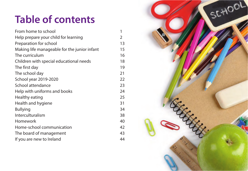## <span id="page-2-0"></span>**Table of contents**

| From home to school                          | 1  |
|----------------------------------------------|----|
| Help prepare your child for learning         | 2  |
| Preparation for school                       | 13 |
| Making life manageable for the junior infant | 15 |
| The curriculum                               | 16 |
| Children with special educational needs      | 18 |
| The first day                                | 19 |
| The school day                               | 21 |
| School year 2019-2020                        | 22 |
| School attendance                            | 23 |
| Help with uniforms and books                 | 24 |
| Healthy eating                               | 25 |
| Health and hygiene                           | 31 |
| <b>Bullying</b>                              | 34 |
| Interculturalism                             | 38 |
| Homework                                     | 40 |
| Home-school communication                    | 42 |
| The board of management                      | 43 |
| If you are new to Ireland                    | 44 |

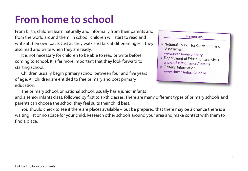### <span id="page-3-0"></span>**From home to school**

From birth, children learn naturally and informally from their parents and from the world around them. In school, children will start to read and write at their own pace. Just as they walk and talk at different ages – they also read and write when they are ready.

It is not necessary for children to be able to read or write before coming to school. It is far more important that they look forward to starting school.

Children usually begin primary school between four and five years of age. All children are entitled to free primary and post primary education.

The primary school, or national school, usually has a junior infants

and a senior infants class, followed by first to sixth classes. There are many different types of primary schools and parents can choose the school they feel suits their child best.

You should check to see if there are places available – but be prepared that there may be a chance there is a waiting list or no space for your child. Research other schools around your area and make contact with them to find a place.

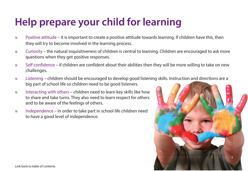### <span id="page-4-0"></span>**Help prepare your child for learning**

- $\%$  Positive attitude it is important to create a positive attitude towards learning. If children have this, then they will try to become involved in the learning process.
- Curiosity the natural inquisitiveness of children is central to learning. Children are encouraged to ask more questions when they get positive responses.
- Self confidence if children are confident about their abilities then they will be more willing to take on new challenges.
- Listening children should be encouraged to develop good listening skills. Instruction and directions are a big part of school life so children need to be good listeners.
- $*$  Interacting with others children need to learn key skills like how to share and take turns. They also need to learn respect for others and to be aware of the feelings of others.
- Independence in order to take part in school life children need to have a good level of independence.

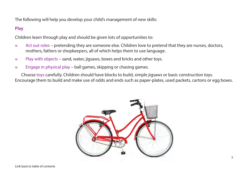The following will help you develop your child's management of new skills:

#### **Play**

Children learn through play and should be given lots of opportunities to:

- Act out roles pretending they are someone else. Children love to pretend that they are nurses, doctors, mothers, fathers or shopkeepers, all of which helps them to use language.
- $\mathscr{C}$  Play with objects sand, water, jigsaws, boxes and bricks and other toys.
- $\mathscr{C}$  Engage in physical play ball games, skipping or chasing games.

Choose toys carefully. Children should have blocks to build, simple jigsaws or basic construction toys. Encourage them to build and make use of odds and ends such as paper-plates, used packets, cartons or egg boxes.

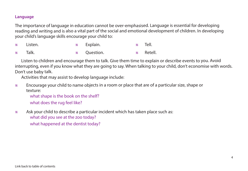#### **Language**

The importance of language in education cannot be over-emphasised. Language is essential for developing reading and writing and is also a vital part of the social and emotional development of children. In developing your child's language skills encourage your child to:

| <b><i>*</i></b> Listen. | <b>1888</b> Explain.      | % Tell.                 |
|-------------------------|---------------------------|-------------------------|
| <b>1888</b> Talk.       | <b>EXECUTE:</b> Question. | <b><i>*</i></b> Retell. |

Listen to children and encourage them to talk. Give them time to explain or describe events to you. Avoid interrupting, even if you know what they are going to say. When talking to your child, don't economise with words. Don't use baby talk.

Activities that may assist to develop language include:

• Encourage your child to name objects in a room or place that are of a particular size, shape or texture:

what shape is the book on the shelf?

what does the rug feel like?

• Ask your child to describe a particular incident which has taken place such as: what did you see at the zoo today? what happened at the dentist today?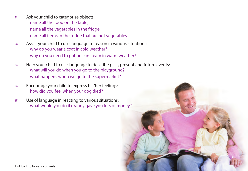- Ask your child to categorise objects: name all the food on the table; name all the vegetables in the fridge; name all items in the fridge that are not vegetables.
- Assist your child to use language to reason in various situations: why do you wear a coat in cold weather? why do you need to put on suncream in warm weather?
- Help your child to use language to describe past, present and future events: what will you do when you go to the playground? what happens when we go to the supermarket?
- Encourage your child to express his/her feelings: how did you feel when your dog died?
- Use of language in reacting to various situations: what would you do if granny gave you lots of money?

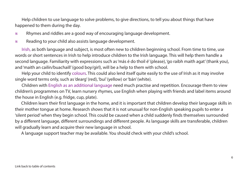Help children to use language to solve problems, to give directions, to tell you about things that have happened to them during the day.

- Rhymes and riddles are a good way of encouraging language development.
- $\mathscr{C}$  Reading to your child also assists language development.

Irish, as both language and subject, is most often new to children beginning school. From time to time, use words or short sentences in Irish to help introduce children to the Irish language. This will help them handle a second language. Familiarity with expressions such as 'más é do thoil é' (please), 'go raibh maith agat' (thank you), and 'maith an cailín/buachaill' (good boy/girl), will be a help to them with school.

Help your child to identify colours. This could also lend itself quite easily to the use of Irish as it may involve single word terms only, such as 'dearg' (red), 'buí' (yellow) or 'bán' (white).

Children with English as an additional language need much practise and repetition. Encourage them to view children's programmes on TV, learn nursery rhymes, use English when playing with friends and label items around the house in English (e.g. fridge, cup, plate).

Children learn their first language in the home, and it is important that children develop their language skills in their mother tongue at home. Research shows that it is not unusual for non-English speaking pupils to enter a 'silent period' when they begin school. This could be caused when a child suddenly finds themselves surrounded by a different language, different surroundings and different people. As language skills are transferable, children will gradually learn and acquire their new language in school.

A language support teacher may be available. You should check with your child's school.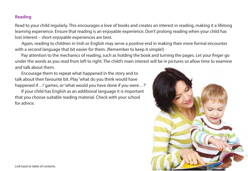#### **Reading**

Read to your child regularly. This encourages a love of books and creates an interest in reading, making it a lifelong learning experience. Ensure that reading is an enjoyable experience. Don't prolong reading when your child has lost interest – short enjoyable experiences are best.

 Again, reading to children in Irish or English may serve a positive end in making their more formal encounter with a second language that bit easier for them. (Remember to keep it simple!)

Pay attention to the mechanics of reading, such as holding the book and turning the pages. Let your finger go under the words as you read from left to right. The child's main interest will be in pictures so allow time to examine and talk about them.

Encourage them to repeat what happened in the story and to talk about their favourite bit. Play 'what do you think would have happened if...!' games, or 'what would you have done if you were...?'

If your child has English as an additional language it is important that you choose suitable reading material. Check with your school for advice.

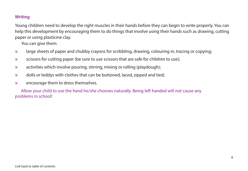### **Writing**

Young children need to develop the right muscles in their hands before they can begin to write properly. You can help this development by encouraging them to do things that involve using their hands such as drawing, cutting paper or using plasticine clay.

You can give them:

- $\mathscr W$  large sheets of paper and chubby crayons for scribbling, drawing, colouring in, tracing or copying;
- scissors for cutting paper (be sure to use scissors that are safe for children to use);
- $\mathscr{C}$  activities which involve pouring, stirring, mixing or rolling (playdough);
- dolls or teddys with clothes that can be buttoned, laced, zipped and tied;
- encourage them to dress themselves.

 Allow your child to use the hand he/she chooses naturally. Being left handed will not cause any problems in school!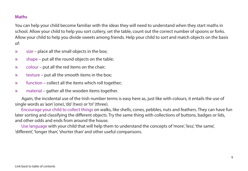#### **Maths**

You can help your child become familiar with the ideas they will need to understand when they start maths in school. Allow your child to help you sort cutlery, set the table, count out the correct number of spoons or forks. Allow your child to help you divide sweets among friends. Help your child to sort and match objects on the basis of:

- $\frac{1}{2}$  size place all the small objects in the box;
- $%$  shape put all the round objects on the table;
- $\%$  colour put all the red items on the chair:
- $*$  texture put all the smooth items in the box;
- $*$  function collect all the items which roll together;
- $*$  material gather all the wooden items together.

 Again, the incidental use of the Irish number terms is easy here as, just like with colours, it entails the use of single words as 'aon' (one), 'dó' (two) or 'trí' (three).

Encourage your child to collect things on walks, like shells, cones, pebbles, nuts and feathers. They can have fun later sorting and classifying the different objects. Try the same thing with collections of buttons, badges or lids, and other odds and ends from around the house.

Use language with your child that will help them to understand the concepts of 'more', 'less', 'the same', 'different', 'longer than', 'shorter than' and other useful comparisons.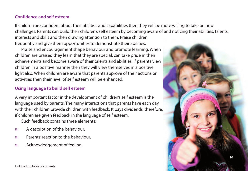#### **Confidence and self esteem**

If children are confident about their abilities and capabilities then they will be more willing to take on new challenges. Parents can build their children's self esteem by becoming aware of and noticing their abilities, talents,

interests and skills and then drawing attention to them. Praise children frequently and give them opportunities to demonstrate their abilities.

Praise and encouragement shape behaviour and promote learning. When children are praised they learn that they are special, can take pride in their achievements and become aware of their talents and abilities. If parents view children in a positive manner then they will view themselves in a positive light also. When children are aware that parents approve of their actions or activities then their level of self esteem will be enhanced.

### **Using language to build self esteem**

A very important factor in the development of children's self esteem is the language used by parents. The many interactions that parents have each day with their children provide children with feedback. It pays dividends, therefore, if children are given feedback in the language of self esteem.

Such feedback contains three elements:

- A description of the behaviour.
- Parents' reaction to the behaviour.
- Acknowledgement of feeling.

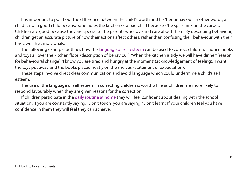It is important to point out the difference between the child's worth and his/her behaviour. In other words, a child is not a good child because s/he tidies the kitchen or a bad child because s/he spills milk on the carpet. Children are good because they are special to the parents who love and care about them. By describing behaviour, children get an accurate picture of how their actions affect others, rather than confusing their behaviour with their basic worth as individuals.

The following example outlines how the language of self esteem can be used to correct children. 'I notice books and toys all over the kitchen floor' (description of behaviour). 'When the kitchen is tidy we will have dinner' (reason for behavioural change). 'I know you are tired and hungry at the moment' (acknowledgement of feeling). 'I want the toys put away and the books placed neatly on the shelves' (statement of expectation).

These steps involve direct clear communication and avoid language which could undermine a child's self esteem.

The use of the language of self esteem in correcting children is worthwhile as children are more likely to respond favourably when they are given reasons for the correction.

If children participate in the daily routine at home they will feel confident about dealing with the school situation. If you are constantly saying, "Don't touch" you are saying, "Don't learn". If your children feel you have confidence in them they will feel they can achieve.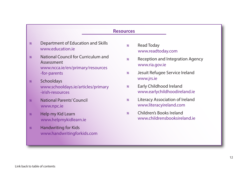#### **Resources**

- [Department of Education and Skills](www.education.ie)  www.education.ie
- [National Council for Curriculum and](www.ncca.ie/en/primary/resources-for-parents)  Assessment www.ncca.ie/en/primary/resources -for-parents
- Schooldays [www.schooldays.ie/articles/primary](www.schooldays.ie/articles/primary-irish-resources) -irish-resources
- [National Parents' Council](www.npc.ie) www.npc.ie
- Help my Kid Learn <www.helpmykidlearn.ie>
- Handwriting for Kids <www.handwritingforkids.com>
- Read Today <www.readtoday.com>
- [Reception and Integration Agency](www.ria.gov.ie) www.ria.gov.ie
- [Jesuit Refugee Service Ireland](www.jrs.ie) www.jrs.ie
- Early Childhood Ireland <www.earlychildhoodireland.ie>
- [Literacy Association of Ireland](www.literacyireland.com) www.literacyireland.com
- Children's Books Ireland <www.childrensbooksireland.ie>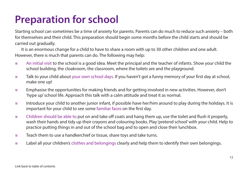### <span id="page-15-0"></span>**Preparation for school**

Starting school can sometimes be a time of anxiety for parents. Parents can do much to reduce such anxiety – both for themselves and their child. This preparation should begin some months before the child starts and should be carried out gradually.

It is an enormous change for a child to have to share a room with up to 30 other children and one adult. However, there is much that parents can do. The following may help:

- An initial visit to the school is a good idea. Meet the principal and the teacher of infants. Show your child the school building, the cloakroom, the classroom, where the toilets are and the playground.
- Talk to your child about your own school days. If you haven't got a funny memory of your first day at school, make one up!
- Emphasise the opportunities for making friends and for getting involved in new activities. However, don't 'hype up' school life. Approach this talk with a calm attitude and treat it as normal.
- Introduce your child to another junior infant, if possible have her/him around to play during the holidays. It is important for your child to see some familiar faces on the first day.
- Children should be able to put on and take off coats and hang them up, use the toilet and flush it properly, wash their hands and tidy up their crayons and colouring books. Play 'pretend school' with your child. Help to practice putting things in and out of the school bag and to open and close their lunchbox.
- Teach them to use a handkerchief or tissue, share toys and take turns.
- Label all your children's clothes and belongings clearly and help them to identify their own belongings.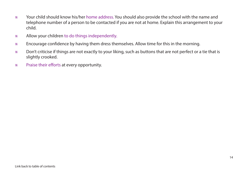- Your child should know his/her home address. You should also provide the school with the name and telephone number of a person to be contacted if you are not at home. Explain this arrangement to your child.
- Allow your children to do things independently.
- Encourage confidence by having them dress themselves. Allow time for this in the morning.
- Don't criticise if things are not exactly to your liking, such as buttons that are not perfect or a tie that is slightly crooked.
- Praise their efforts at every opportunity.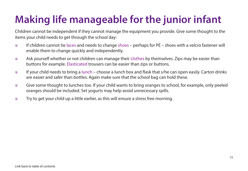## <span id="page-17-0"></span>**Making life manageable for the junior infant**

Children cannot be independent if they cannot manage the equipment you provide. Give some thought to the items your child needs to get through the school day:

- $\%$  If children cannot tie laces and needs to change shoes perhaps for PE shoes with a velcro fastener will enable them to change quickly and independently.
- Ask yourself whether or not children can manage their clothes by themselves. Zips may be easier than buttons for example. Elasticated trousers can be easier than zips or buttons.
- If your child needs to bring a lunch choose a lunch box and flask that s/he can open easily. Carton drinks are easier and safer than bottles. Again make sure that the school bag can hold these.
- Give some thought to lunches too. If your child wants to bring oranges to school, for example, only peeled oranges should be included. Set yogurts may help avoid unnecessary spills.
- Try to get your child up a little earlier, as this will ensure a stress free morning.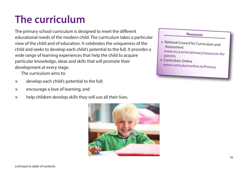## <span id="page-18-0"></span>**The curriculum**

The primary school curriculum is designed to meet the different educational needs of the modern child. The curriculum takes a particular view of the child and of education. It celebrates the uniqueness of the child and seeks to develop each child's potential to the full. It provides a wide range of learning experiences that help the child to acquire particular knowledge, ideas and skills that will promote their development at every stage.

The curriculum aims to:

- $*$  develop each child's potential to the full;
- encourage a love of learning; and
- $\mathscr{C}$  help children develop skills they will use all their lives.



#### **Resources**

- National Council for Curriculum and Assessment
	- [www.ncca.ie/en/primary/resources-for](https://www.ncca.ie/en/primary/resources-for-parents)**parents**
- Curriculum Online [www.curriculumonline.ie/Primary](https://www.curriculumonline.ie/Primary)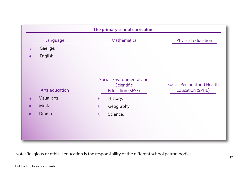

Note: Religious or ethical education is the responsibility of the different school patron bodies.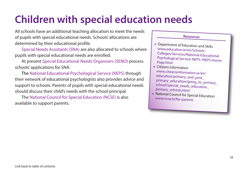### <span id="page-20-0"></span>**Children with special education needs**

All schools have an additional teaching allocation to meet the needs of pupils with special educational needs. Schools' allocations are determined by their educational profile.

 Special Needs Assistants (SNA) are also allocated to schools where pupils with special educational needs are enrolled.

 At present Special Educational Needs Organisers (SENO) process schools' applications for SNA.

 The National Educational Psychological Service (NEPS) through their network of educational psychologists also provides advice and support to schools. Parents of pupils with special educational needs should discuss their child's needs with the school principal.

 The National Council for Special Education (NCSE) is also available to support parents.

#### **Resources**

- Department of Education and Skills www.education.ie/en/Schools-Colleges/Services/National-Educational-[Psychological-Service-NEPS-/NEPS-Home-](www.education.ie/en/Schools-Colleges/Services/National-Educational-Psychological-Service-NEPS-/NEPS-Home-Page.html)Page.html
- Citizens Information www.citizensinformation.ie/en/ education/primary\_and\_post\_ [primary\\_education/going\\_to\\_primary\\_](www.citizensinformation.ie/en/education/primary_and_post_primary_education/going_to_primary_school/special_needs_education_primary_schools.html) school/special\_needs\_education\_ primary\_schools.html
- [National Council for Special Education](https://ncse.ie/for-parents) www.ncse.ie/for-parents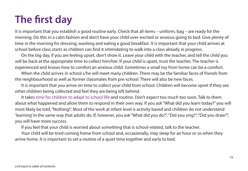## <span id="page-21-0"></span>**The first day**

It is important that you establish a good routine early. Check that all items – uniform, bag – are ready for the morning. Do this in a calm fashion and don't have your child over-excited or anxious going to bed. Give plenty of time in the morning for dressing, washing and eating a good breakfast. It is important that your child arrives at school before class starts as children can find it intimidating to walk into a class already in progress.

On the big day, if you are feeling upset, don't show it. Leave your child with the teacher, and tell the child you will be back at the appropriate time to collect him/her. If your child is upset, trust the teacher. The teacher is experienced and knows how to comfort an anxious child. Sometimes a small toy from home can be a comfort.

When the child arrives in school s/he will meet many children. There may be the familiar faces of friends from the neighbourhood as well as former classmates from pre-school. There will also be new faces.

It is important that you arrive on time to collect your child from school. Children will become upset if they see other children being collected and feel they are being left behind.

It takes time for children to adapt to school life and routine. Don't expect too much too soon. Talk to them about what happened and allow them to respond in their own way. If you ask "What did you learn today?" you will most likely be told, "Nothing!". Most of the work at infant level is activity based and children do not understand 'learning' in the same way that adults do. If, however, you ask "What did you do?", "Did you sing?", "Did you draw?", you will have more success.

If you feel that your child is worried about something that is school-related, talk to the teacher.

Your child will be tired coming home from school and, occasionally, may sleep for an hour or so when they arrive home. It is important to set a routine of a quiet time together and early to bed.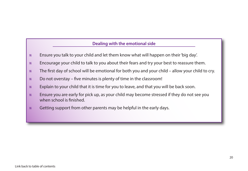#### **Dealing with the emotional side**

- Ensure you talk to your child and let them know what will happen on their 'big day'.
- Encourage your child to talk to you about their fears and try your best to reassure them.
- The first day of school will be emotional for both you and your child allow your child to cry.
- $\mathscr{C}$  Do not overstay five minutes is plenty of time in the classroom!
- Explain to your child that it is time for you to leave, and that you will be back soon.
- Ensure you are early for pick up, as your child may become stressed if they do not see you when school is finished.
- $\mathscr{C}$  Getting support from other parents may be helpful in the early days.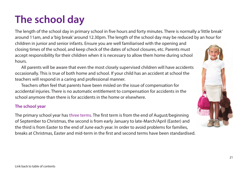## <span id="page-23-0"></span>**The school day**

The length of the school day in primary school in five hours and forty minutes. There is normally a 'little break' around 11am, and a 'big break' around 12.30pm. The length of the school day may be reduced by an hour for children in junior and senior infants. Ensure you are well familiarised with the opening and closing times of the school, and keep check of the dates of school closures, etc. Parents must

accept responsibility for their children when it is necessary to allow them home during school hours.

All parents will be aware that even the most closely supervised children will have accidents occasionally. This is true of both home and school. If your child has an accident at school the teachers will respond in a caring and professional manner.

Teachers often feel that parents have been misled on the issue of compensation for accidental injuries. There is no automatic entitlement to compensation for accidents in the school anymore than there is for accidents in the home or elsewhere.

### **The school year**

The primary school year has three terms. The first term is from the end of August/beginning of September to Christmas, the second is from early January to late-March/April (Easter) and the third is from Easter to the end of June each year. In order to avoid problems for families, breaks at Christmas, Easter and mid-term in the first and second terms have been standardised.

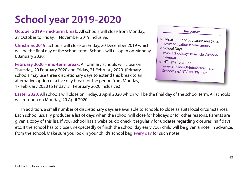# <span id="page-24-0"></span>**School year 2019-2020**

**October 2019 – mid-term break.** All schools will close from Monday, 28 October to Friday, 1 November 2019 inclusive.

**Christmas 2019.** Schools will close on Friday, 20 December 2019 which will be the final day of the school term. Schools will re-open on Monday, 6 January 2020.

**February 2020 – mid-term break.** All primary schools will close on Thursday, 20 February 2020 and Friday, 21 February 2020. (Primary schools may use three discretionary days to extend this break to an alternative option of a five day break for the period from Monday, 17 February 2020 to Friday, 21 February 2020 inclusive.)

#### **Resources**

- [Department of Education and Skills](https://www.education.ie/en/Parents) www.education.ie/en/Parents
- School Days [www.schooldays.ie/articles/school](http://www.schooldays.ie/articles/school-calendar)calendar
- INTO year planner [www.into.ie/ROI/InfoforTeachers/](www.into.ie/ROI/InfoforTeachers/SchoolYear/INTOYearPlanner) SchoolYear/INTOYearPlanner

**Easter 2020.** All schools will close on Friday, 3 April 2020 which will be the final day of the school term. All schools will re-open on Monday, 20 April 2020.

 In addition, a small number of discretionary days are available to schools to close as suits local circumstances. Each school usually produces a list of days when the school will close for holidays or for other reasons. Parents are given a copy of this list. If your school has a website, do check it regularly for updates regarding closures, half days, etc. If the school has to close unexpectedly or finish the school day early your child will be given a note, in advance, from the school. Make sure you look in your child's school bag every day for such notes.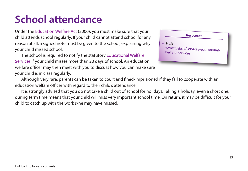### <span id="page-25-0"></span>**School attendance**

Under the Education Welfare Act (2000), you must make sure that your child attends school regularly. If your child cannot attend school for any reason at all, a signed note must be given to the school, explaining why your child missed school.

The school is required to notify the statutory Educational Welfare Services if your child misses more than 20 days of school. An education welfare officer may then meet with you to discuss how you can make sure your child is in class regularly.

| <b>Resources</b>                                                             |
|------------------------------------------------------------------------------|
| $\mathbb{Z}$ Tusla<br>www.tusla.ie/services/educational-<br>welfare-services |
|                                                                              |

Although very rare, parents can be taken to court and fined/imprisioned if they fail to cooperate with an education welfare officer with regard to their child's attendance.

It is strongly advised that you do not take a child out of school for holidays. Taking a holiday, even a short one, during term time means that your child will miss very important school time. On return, it may be difficult for your child to catch up with the work s/he may have missed.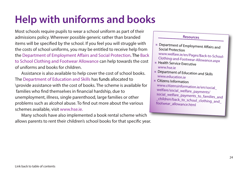### <span id="page-26-0"></span>**Help with uniforms and books**

Most schools require pupils to wear a school uniform as part of their admissions policy. Wherever possible generic rather than branded items will be specified by the school. If you feel you will struggle with the costs of school uniforms, you may be entitled to receive help from the Department of Employment Affairs and Social Protection. The Back to School Clothing and Footwear Allowance can help towards the cost of uniforms and books for children.

Assistance is also available to help cover the cost of school books. The Department of Education and Skills has funds allocated to \provide assistance with the cost of books. The scheme is available for families who find themselves in financial hardship, due to unemployment, illness, single parenthood, large families or other problems such as alcohol abuse. To find out more about the various schemes available, visit [www.hse.ie.](https://www.hse.ie/eng/)

Many schools have also implemented a book rental scheme which allows parents to rent their children's school books for that specific year.

#### **Resources**

- [Department of Employment Affairs and](http://www.welfare.ie/en/Pages/Back-to-School-Clothing-and-Footwear-Allowance.aspx) Social Protection
- www.welfare.ie/en/Pages/Back-to-School-Clothing-and-Footwear-Allowance.aspx
- [Health Service Executive](https://www.hse.ie/eng/)  www.hse.ie
- [Department of Education and Skills](https://www.education.ie/en/)  www.education.ie
- Citizens Information www.citizensinformation.ie/en/social\_ welfare/social\_welfare\_payments/ social\_welfare\_payments\_to\_families\_and \_[children/back\\_to\\_school\\_clothing\\_and\\_](https://www.citizensinformation.ie/en/social_welfare/social_welfare_payments/social_welfare_payments_to_families_and_children/back_to_school_clothing_and_footwear_allowance.html) footwear\_allowance.html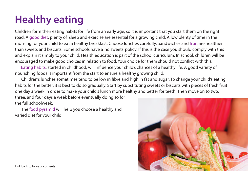# <span id="page-27-0"></span>**Healthy eating**

Children form their eating habits for life from an early age, so it is important that you start them on the right road. A good diet, plenty of sleep and exercise are essential for a growing child. Allow plenty of time in the morning for your child to eat a healthy breakfast. Choose lunches carefully. Sandwiches and fruit are healthier than sweets and biscuits. Some schools have a 'no sweets' policy. If this is the case you should comply with this and explain it simply to your child. Health education is part of the school curriculum. In school, children will be encouraged to make good choices in relation to food. Your choice for them should not conflict with this.

 Eating habits, started in childhood, will influence your child's chances of a healthy life. A good variety of nourishing foods is important from the start to ensure a healthy growing child.

Children's lunches sometimes tend to be low in fibre and high in fat and sugar. To change your child's eating habits for the better, it is best to do so gradually. Start by substituting sweets or biscuits with pieces of fresh fruit one day a week in order to make your child's lunch more healthy and better for teeth. Then move on to two,

three, and four days a week before eventually doing so for the full schoolweek.

The food pyramid will help you choose a healthy and varied diet for your child.

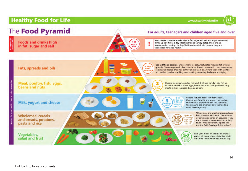### **Healthy Food for Life**

www.healthyireland.ie

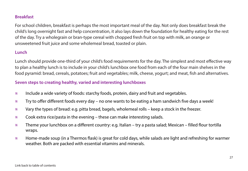#### **Breakfast**

For school children, breakfast is perhaps the most important meal of the day. Not only does breakfast break the child's long overnight fast and help concentration, it also lays down the foundation for healthy eating for the rest of the day. Try a wholegrain or bran-type cereal with chopped fresh fruit on top with milk, an orange or unsweetened fruit juice and some wholemeal bread, toasted or plain.

### **Lunch**

Lunch should provide one-third of your child's food requirements for the day. The simplest and most effective way to plan a healthy lunch is to include in your child's lunchbox one food from each of the four main shelves in the food pyramid: bread, cereals, potatoes; fruit and vegetables; milk, cheese, yogurt; and meat, fish and alternatives.

#### **Seven steps to creating healthy, varied and interesting lunchboxes**

- Include a wide variety of foods: starchy foods, protein, dairy and fruit and vegetables.
- $\%$  Try to offer different foods every day no one wants to be eating a ham sandwich five days a week!
- $\%$  Vary the types of bread: e.g. pitta bread, bagels, wholemeal rolls keep a stock in the freezer.
- $\%$  Cook extra rice/pasta in the evening these can make interesting salads.
- Theme your lunchbox on a different country: e.g. Italian try a pasta salad; Mexican filled flour tortilla wraps.
- Home-made soup (in a Thermos flask) is great for cold days, while salads are light and refreshing for warmer weather. Both are packed with essential vitamins and minerals.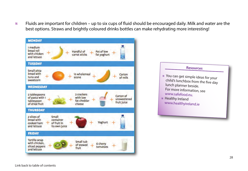$\%$  Fluids are important for children – up to six cups of fluid should be encouraged daily. Milk and water are the best options. Straws and brightly coloured drinks bottles can make rehydrating more interesting!

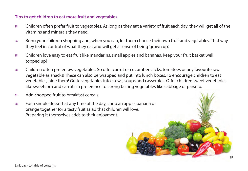#### **Tips to get children to eat more fruit and vegetables**

- Children often prefer fruit to vegetables. As long as they eat a variety of fruit each day, they will get all of the vitamins and minerals they need.
- Bring your children shopping and, when you can, let them choose their own fruit and vegetables. That way they feel in control of what they eat and will get a sense of being 'grown up'.
- Children love easy to eat fruit like mandarins, small apples and bananas. Keep your fruit basket well topped up!
- Children often prefer raw vegetables. So offer carrot or cucumber sticks, tomatoes or any favourite raw vegetable as snacks! These can also be wrapped and put into lunch boxes. To encourage children to eat vegetables, hide them! Grate vegetables into stews, soups and casseroles. Offer children sweet vegetables like sweetcorn and carrots in preference to strong tasting vegetables like cabbage or parsnip.
- Add chopped fruit to breakfast cereals.
- For a simple dessert at any time of the day, chop an apple, banana or orange together for a tasty fruit salad that children will love. Preparing it themselves adds to their enjoyment.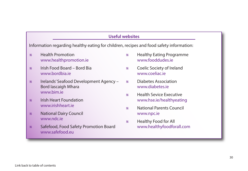#### **Useful websites**

Information regarding healthy eating for children, recipes and food safety information:

- Health Promotion <www.healthpromotion.ie>
- [Irish Food Board Bord Bia](www.bordbia.ie) www.bordbia.ie
- [Irelands' Seafood Development Agency –](http://www.bim.ie) Bord Iascaigh Mhara www.bim.ie
- [Irish Heart Foundation](www.irishheart.ie)  www.irishheart.ie
- *\** [National Dairy Council](www.ndc.ie) www.ndc.ie
- [Safefood, Food Safety Promotion Board](www.safefood.eu)  www.safefood.eu
- [Healthy Eating Programme](www.fooddudes.ie) www.fooddudes.ie
- [Coelic Society of Ireland](www.coeliac.ie) www.coeliac.ie
- [Diabetes Association](www.diabetes.ie)  www.diabetes.ie
- Health Sevice Executive <www.hse.ie/healthyeating>
- [National Parents Council](www.npc.ie) www.npc.ie
- Healthy Food for All <www.healthyfoodforall.com>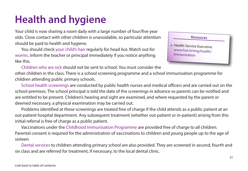### <span id="page-33-0"></span>**Health and hygiene**

Your child is now sharing a room daily with a large number of four/five year olds. Close contact with other children is unavoidable, so particular attention should be paid to health and hygiene.

You should check your child's hair regularly for head lice. Watch out for worms. Inform the teacher or principal immediately if you notice anything like this.

### **Resources** • [Health Service Executive](www.hse.ie/eng/health/immunisation)  www.hse.ie/eng/health/ immunisation

Children who are sick should not be sent to school. You must consider the other children in the class. There is a school screening programme and a school immunisation programme for children attending public primary schools.

School health screenings are conducted by public health nurses and medical officers and are carried out on the school premises. The school principal is told the date of the screenings in advance so parents can be notified and are entitled to be present. Children's hearing and sight are examined, and where requested by the parent or deemed necessary, a physical examination may be carried out.

Problems identified at these screenings are treated free of charge if the child attends as a public patient at an out-patient hospital department. Any subsequent treatment (whether out-patient or in-patient) arising from this initial referral is free of charge as a public patient.

Vaccinations under the Childhood Immunisation Programme are provided free of charge to all children. Parental consent is required for the administration of vaccinations to children and young people up to the age of sixteen.

Dental services to children attending primary school are also provided. They are screened in second, fourth and six class and are referred for treatment, if necessary, to the local dental clinic.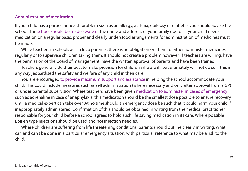#### **Administration of medication**

If your child has a particular health problem such as an allergy, asthma, epilepsy or diabetes you should advise the school. The school should be made aware of the name and address of your family doctor. If your child needs medication on a regular basis, proper and clearly understood arrangements for administration of medicines must be made.

While teachers in schools act 'in loco parentis', there is no obligation on them to either administer medicines regularly or to supervise children taking them. It should not create a problem however, if teachers are willing, have the permission of the board of management, have the written approval of parents and have been trained.

Teachers generally do their best to make provision for children who are ill, but ultimately will not do so if this in any way jeopardised the safety and welfare of any child in their care.

You are encouraged to provide maximum support and assistance in helping the school accommodate your child. This could include measures such as self administration (where necessary and only after approval from a GP) or under parental supervision. Where teachers have been given medication to administer in cases of emergency such as adrenaline in case of anaphylaxis, this medication should be the smallest dose possible to ensure recovery until a medical expert can take over. At no time should an emergency dose be such that it could harm your child if inappropriately administered. Confirmation of this should be obtained in writing from the medical practitioner responsible for your child before a school agrees to hold such life saving medication in its care. Where possible EpiPen type injections should be used and not injection needles.

Where children are suffering from life threatening conditions, parents should outline clearly in writing, what can and can't be done in a particular emergency situation, with particular reference to what may be a risk to the child.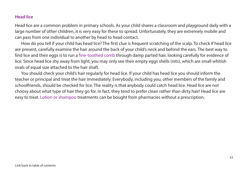#### **Head lice**

Head lice are a common problem in primary schools. As your child shares a classroom and playground daily with a large number of other children, it is very easy for these to spread. Unfortunately, they are extremely mobile and can pass from one individual to another by head to head contact.

How do you tell if your child has head lice? The first clue is frequent scratching of the scalp. To check if head lice are present, carefully examine the hair around the back of your child's neck and behind the ears. The best way to find lice and their eggs is to run a fine-toothed comb through damp parted hair, looking carefully for evidence of lice. Since head lice shy away from light, you may only see their empty eggs shells (nits), which are small whitish ovals of equal size attached to the hair shaft.

You should check your child's hair regularly for head lice. If your child has head lice you should inform the teacher or principal and treat the hair immediately. Everybody, including you, other members of the family and schoolfriends, should be checked for lice. The reality is that anybody could catch head lice. Head lice are not choosy about what type of hair they go for. In fact, they tend to prefer clean rather than dirty hair! Head lice are easy to treat. Lotion or shampoo treatments can be bought from pharmacies without a prescription.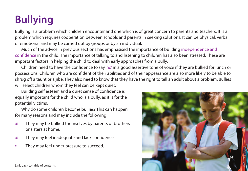# <span id="page-36-0"></span>**Bullying**

Bullying is a problem which children encounter and one which is of great concern to parents and teachers. It is a problem which requires cooperation between schools and parents in seeking solutions. It can be physical, verbal or emotional and may be carried out by groups or by an individual.

Much of the advice in previous sections has emphasised the importance of building independence and confidence in the child. The importance of talking to and listening to children has also been stressed. These are important factors in helping the child to deal with early approaches from a bully.

Children need to have the confidence to say 'no' in a good assertive tone of voice if they are bullied for lunch or possessions. Children who are confident of their abilities and of their appearance are also more likely to be able to shrug off a taunt or a jibe. They also need to know that they have the right to tell an adult about a problem. Bullies will select children whom they feel can be kept quiet.

Building self esteem and a quiet sense of confidence is equally important for the child who is a bully, as it is for the potential victims.

Why do some children become bullies? This can happen for many reasons and may include the following:

- They may be bullied themselves by parents or brothers or sisters at home.
- $%$  They may feel inadequate and lack confidence.
- They may feel under pressure to succeed.

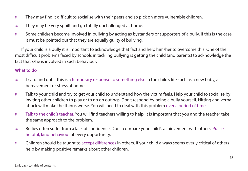- They may find it difficult to socialise with their peers and so pick on more vulnerable children.
- $\mathscr{C}$  They may be very spoilt and go totally unchallenged at home.
- Some children become involved in bullying by acting as bystanders or supporters of a bully. If this is the case, it must be pointed out that they are equally guilty of bullying.

If your child is a bully it is important to acknowledge that fact and help him/her to overcome this. One of the most difficult problems faced by schools in tackling bullying is getting the child (and parents) to acknowledge the fact that s/he is involved in such behaviour.

#### **What to do**

- Try to find out if this is a temporary response to something else in the child's life such as a new baby, a bereavement or stress at home.
- Talk to your child and try to get your child to understand how the victim feels. Help your child to socialise by inviting other children to play or to go on outings. Don't respond by being a bully yourself. Hitting and verbal attack will make the things worse. You will need to deal with this problem over a period of time.
- Talk to the child's teacher. You will find teachers willing to help. It is important that you and the teacher take the same approach to the problem.
- Bullies often suffer from a lack of confidence. Don't compare your child's achievement with others. Praise helpful, kind behaviour at every opportunity.
- Children should be taught to accept differences in others. If your child always seems overly critical of others help by making positive remarks about other children.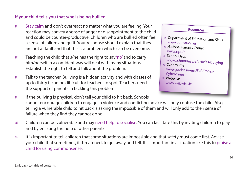#### **If your child tells you that s/he is being bullied**

- Stay calm and don't overreact no matter what you are feeling. Your reaction may convey a sense of anger or disappointment to the child and could be counter-productive. Children who are bullied often feel a sense of failure and guilt. Your response should explain that they are not at fault and that this is a problem which can be overcome.
- $\mathscr{C}$  Teaching the child that s/he has the right to say 'no' and to carry him/herself in a confident way will deal with many situations. Establish the right to tell and talk about the problem.
- Talk to the teacher. Bullying is a hidden activity and with classes of up to thirty it can be difficult for teachers to spot. Teachers need the support of parents in tackling this problem.
- If the bullying is physical, don't tell your child to hit back. Schools cannot encourage children to engage in violence and conflicting advice will only confuse the child. Also, telling a vulnerable child to hit back is asking the impossible of them and will only add to their sense of failure when they find they cannot do so.
- Children can be vulnerable and may need help to socialise. You can facilitate this by inviting children to play and by enlisting the help of other parents.
- It is important to tell children that some situations are impossible and that safety must come first. Advise your child that sometimes, if threatened, to get away and tell. It is important in a situation like this to praise a child for using commonsense.

**Resources** • [Department of Education and Skills](www.education.ie) www.education.ie • [National Parents Council](www.npc.ie)  www.npc.ie • School Days [www.schooldays.ie/articles/bullying](http://www.schooldays.ie/articles/bullying) • Cybercrime [www.justice.ie/en/JELR/Pages/](www.justice.ie/en/JELR/Pages/Cybercrime) Cybercrime • Webwise [www.webwise.ie](https://www.webwise.ie)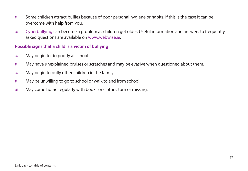- Some children attract bullies because of poor personal hygiene or habits. If this is the case it can be overcome with help from you.
- Cyberbullying can become a problem as children get older. Useful information and answers to frequently asked questions are available on [www.webwise.ie.](https://www.webwise.ie)

### **Possible signs that a child is a victim of bullying**

- May begin to do poorly at school.
- May have unexplained bruises or scratches and may be evasive when questioned about them.
- $\mathscr{C}$  May begin to bully other children in the family.
- May be unwilling to go to school or walk to and from school.
- $\mathscr{C}$  May come home regularly with books or clothes torn or missing.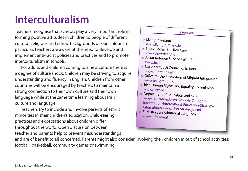### <span id="page-40-0"></span>**Interculturalism**

Teachers recognise that schools play a very important role in forming positive attitudes in children to people of different cultural, religious and ethnic backgrounds or skin colour. In particular, teachers are aware of the need to develop and implement anti-racist policies and practices and to promote interculturalism in schools.

For adults and children coming to a new culture there is a degree of culture shock. Children may be striving to acquire understanding and fluency in English. Children from other countries will be encouraged by teachers to maintain a strong connection to their own culture and their own language while at the same time learning about Irish culture and language.

Teachers try to include and involve parents of ethnic minorities in their children's education. Child-rearing practices and expectations about children differ throughout the world. Open discussion between teacher and parents help to prevent misunderstandings

### **Resources**

- Living in Ireland <www.livinginireland.ie>
- [Show Racism the Red Card](www.theredcard.ie) www.theredcard.ie
- [Jesuit Refugee Service Ireland](https://www.jrs.ie) www.jrs.ie
- [National Youth Council of Ireland](http://www.intercultural.ie)  www.intercultural.ie
- [Office for the Promotion of Migrant Integration](http://www.integration.ie) www.integration.ie
- [Irish Human Rights and Equality Commission](https://www.ihrec.ie) www.ihrec.ie
- Department of Education and Skills www.education.ie/en/Schools-Colleges/ I[nformation/Intercultural-Education-Strategy/](https://www.education.ie/en/Schools-Colleges/Information/Intercultural-Education-Strategy/Intercultural-Education-Strategy.html) Intercultural-Education-Strategy.html
- [English as an Additional Language](https://pdst.ie/eal) www.pdst.ie/eal

and are of benefit to all concerned. Parents might also consider involving their children in out of school activities: football, basketball, community games or swimming.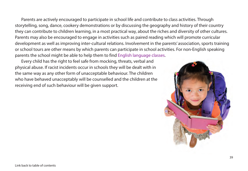Parents are actively encouraged to participate in school life and contribute to class activities. Through storytelling, song, dance, cookery demonstrations or by discussing the geography and history of their country they can contribute to children learning, in a most practical way, about the riches and diversity of other cultures. Parents may also be encouraged to engage in activities such as paired reading which will promote curricular development as well as improving inter-cultural relations. Involvement in the parents' association, sports training or school tours are other means by which parents can participate in school activities. For non-English speaking parents the school might be able to help them to find English language classes.

Every child has the right to feel safe from mocking, threats, verbal and physical abuse. If racist incidents occur in schools they will be dealt with in the same way as any other form of unacceptable behaviour. The children who have behaved unacceptably will be counselled and the children at the receiving end of such behaviour will be given support.

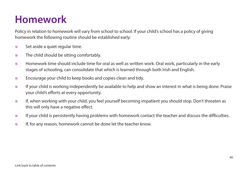### <span id="page-42-0"></span>**Homework**

Policy in relation to homework will vary from school to school. If your child's school has a policy of giving homework the following routine should be established early:

- Set aside a quiet regular time.
- $*$  The child should be sitting comfortably.
- Homework time should include time for oral as well as written work. Oral work, particularly in the early stages of schooling, can consolidate that which is learned through both Irish and English.
- Encourage your child to keep books and copies clean and tidy.
- If your child is working independently be available to help and show an interest in what is being done. Praise your child's efforts at every opportunity.
- If, when working with your child, you feel yourself becoming impatient you should stop. Don't threaten as this will only have a negative effect.
- If your child is persistently having problems with homework contact the teacher and discuss the difficulties.
- $\mathscr{C}$  If, for any reason, homework cannot be done let the teacher know.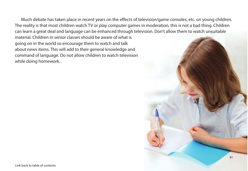Much debate has taken place in recent years on the effects of television/game consoles, etc. on young children. The reality is that most children watch TV or play computer games in moderation, this is not a bad thing. Children can learn a great deal and language can be enhanced through television. Don't allow them to watch unsuitable

material. Children in senior classes should be aware of what is going on in the world so encourage them to watch and talk about news items. This will add to their general knowledge and command of language. Do not allow children to watch television while doing homework.

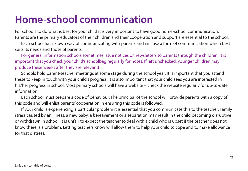### <span id="page-44-0"></span>**Home-school communication**

For schools to do what is best for your child it is very important to have good home-school communication. Parents are the primary educators of their children and their cooperation and support are essential to the school.

Each school has its own way of communicating with parents and will use a form of communication which best suits its needs and those of parents.

For general information schools sometimes issue notices or newsletters to parents through the children. It is important that you check your child's schoolbag regularly for notes. If left unchecked, younger children may produce these weeks after they are relevant!

Schools hold parent-teacher meetings at some stage during the school year. It is important that you attend these to keep in touch with your child's progress. It is also important that your child sees you are interested in his/her progress in school. Most primary schools will have a website – check the website regularly for up-to-date information.

Each school must prepare a code of behaviour. The principal of the school will provide parents with a copy of this code and will enlist parents' cooperation in ensuring this code is followed.

If your child is experiencing a particular problem it is essential that you communicate this to the teacher. Family stress caused by an illness, a new baby, a bereavement or a separation may result in the child becoming disruptive or withdrawn in school. It is unfair to expect the teacher to deal with a child who is upset if the teacher does not know there is a problem. Letting teachers know will allow them to help your child to cope and to make allowance for that distress.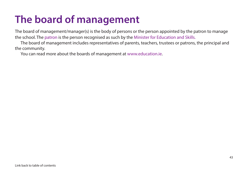### <span id="page-45-0"></span>**The board of management**

The board of management/manager(s) is the body of persons or the person appointed by the patron to manage the school. The patron is the person recognised as such by the Minister for Education and Skills.

 The board of management includes representatives of parents, teachers, trustees or patrons, the principal and the community.

You can read more about the boards of management a[t www.education.ie.](www.education.ie)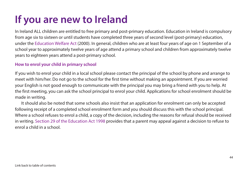## <span id="page-46-0"></span>**If you are new to Ireland**

In Ireland ALL children are entitled to free primary and post-primary education. Education in Ireland is compulsory from age six to sixteen or until students have completed three years of second level (post-primary) education, under the Education Welfare Act (2000). In general, children who are at least four years of age on 1 September of a school year to approximately twelve years of age attend a primary school and children from approximately twelve years to eighteen years attend a post-primary school.

#### **How to enrol your child in primary school**

If you wish to enrol your child in a local school please contact the principal of the school by phone and arrange to meet with him/her. Do not go to the school for the first time without making an appointment. If you are worried your English is not good enough to communicate with the principal you may bring a friend with you to help. At the first meeting, you can ask the school principal to enrol your child. Applications for school enrolment should be made in writing.

It should also be noted that some schools also insist that an application for enrolment can only be accepted following receipt of a completed school enrolment form and you should discuss this with the school principal. Where a school refuses to enrol a child, a copy of the decision, including the reasons for refusal should be received in writing. Section 29 of the Education Act 1998 provides that a parent may appeal against a decision to refuse to enrol a child in a school.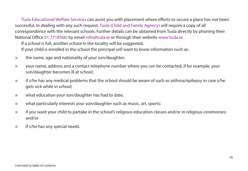Tusla Educational Welfare Services can assist you with placement where efforts to secure a place has not been successful. In dealing with any such request, Tusla (Child and Family Agency) will require a copy of all correspondence with the relevant schools. Further details can be obtained from Tusla directly by phoning their National Office 01 7718500; by emai[l info@tusla.ie](mailto:info@tusla.ie) or through their website [www.tusla.ie.](https://www.tusla.ie)

If a school is full, another school in the locality will be suggested.

If your child is enrolled in the school the principal will want to know information such as:

- $\mathscr{C}$  the name, age and nationality of your son/daughter;
- your name, address and a contact telephone number where you can be contacted, if for example, your son/daughter becomes ill at school;
- if s/he has any medical problems that the school should be aware of such as asthma/epilepsy in case s/he gets sick while in school;
- what education your son/daughter has had to date;
- what particularly interests your son/daughter such as music, art, sports;
- if you want your child to partake in the school's religious education classes and/or in religious ceremonies; and/or
- $*$  if s/he has any special needs.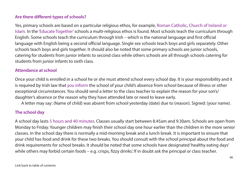#### **Are there different types of schools?**

Yes, primary schools are based on a particular religious ethos, for example, Roman Catholic, Church of Ireland or Islam. In the 'Educate Together' schools a multi-religious ethos is found. Most schools teach the curriculum through English. Some schools teach the curriculum through Irish – which is the national language and first official language with English being a second official language. Single sex schools teach boys and girls separately. Other schools teach boys and girls together. It should also be noted that some primary schools are junior schools, catering for students from junior infants to second class while others schools are all through schools catering for students from junior infants to sixth class.

#### **Attendance at school**

Once your child is enrolled in a school he or she must attend school every school day. It is your responsibility and it is required by Irish law that you inform the school of your child's absence from school because of illness or other exceptional circumstances. You should send a letter to the class teacher to explain the reason for your son's/ daughter's absence or the reason why they have attended late or need to leave early.

A letter may say: (Name of child) was absent from school yesterday (date) due to (reason). Signed: (your name).

#### **The school day**

A school day lasts 5 hours and 40 minutes. Classes usually start between 8.45am and 9.30am. Schools are open from Monday to Friday. Younger children may finish their school day one hour earlier than the children in the more senior classes. In the school day there is normally a mid-morning break and a lunch break. It is important to ensure that your child has food and drink for these two breaks. You should consult with the school principal about the food and drink requirements for school breaks. It should be noted that some schools have designated 'healthy eating days' while others may forbid certain foods – e.g. crisps, fizzy drinks. If in doubt ask the principal or class teacher.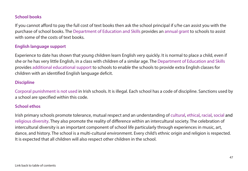#### **School books**

If you cannot afford to pay the full cost of text books then ask the school principal if s/he can assist you with the purchase of school books. The Department of Education and Skills provides an annual grant to schools to assist with some of the costs of text books.

#### **English language support**

Experience to date has shown that young children learn English very quickly. It is normal to place a child, even if she or he has very little English, in a class with children of a similar age. The Department of Education and Skills provides additional educational support to schools to enable the schools to provide extra English classes for children with an identified English language deficit.

#### **Discipline**

Corporal punishment is not used in Irish schools. It is illegal. Each school has a code of discipline. Sanctions used by a school are specified within this code.

#### **School ethos**

Irish primary schools promote tolerance, mutual respect and an understanding of cultural, ethical, racial, social and religious diversity. They also promote the reality of difference within an intercultural society. The celebration of intercultural diversity is an important component of school life particularly through experiences in music, art, dance, and history. The school is a multi-cultural environment. Every child's ethnic origin and religion is respected. It is expected that all children will also respect other children in the school.